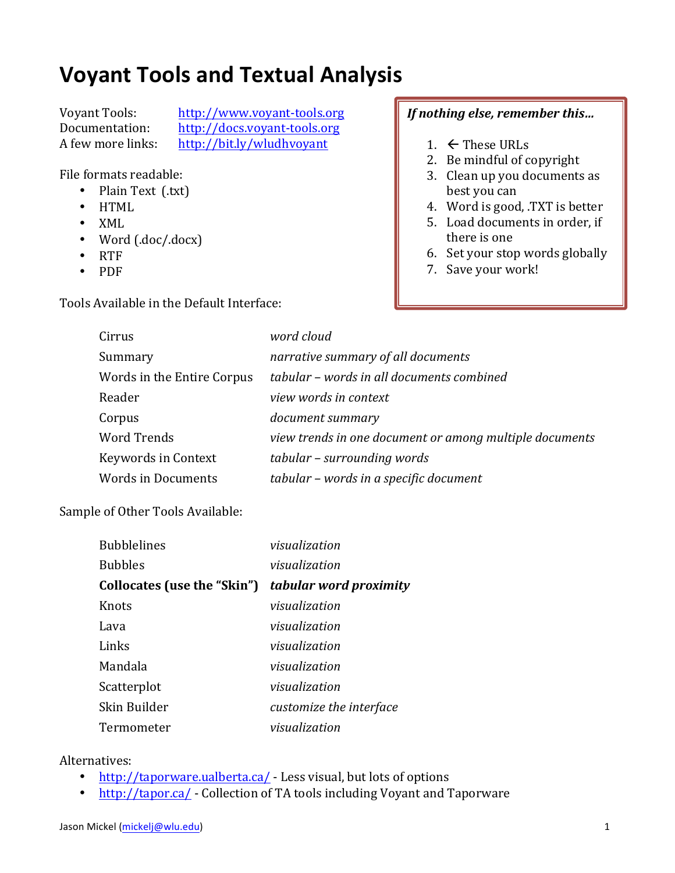## **Voyant Tools and Textual Analysis**

Voyant Tools: http://www.voyant-tools.org Documentation: http://docs.voyant-tools.org A few more links: http://bit.ly/wludhvoyant

File formats readable:

- Plain Text (.txt)
- HTML
- XML
- Word (.doc/.docx)
- RTF
- PDF

Tools Available in the Default Interface:

## *If nothing else, remember this...*

- 1.  $\leftarrow$  These URLs
- 2. Be mindful of copyright
- 3. Clean up you documents as best you can
- 4. Word is good, .TXT is better
- 5. Load documents in order, if there is one
- 6. Set your stop words globally
- 7. Save your work!

| Cirrus                     | word cloud                                              |
|----------------------------|---------------------------------------------------------|
| Summary                    | narrative summary of all documents                      |
| Words in the Entire Corpus | tabular - words in all documents combined               |
| Reader                     | view words in context                                   |
| Corpus                     | document summary                                        |
| <b>Word Trends</b>         | view trends in one document or among multiple documents |
| Keywords in Context        | tabular - surrounding words                             |
| <b>Words in Documents</b>  | tabular - words in a specific document                  |
|                            |                                                         |

Sample of Other Tools Available:

| <b>Bubblelines</b>          | visualization           |
|-----------------------------|-------------------------|
| <b>Bubbles</b>              | visualization           |
| Collocates (use the "Skin") | tabular word proximity  |
| <b>Knots</b>                | visualization           |
| Lava                        | visualization           |
| Links                       | visualization           |
| Mandala                     | visualization           |
| Scatterplot                 | visualization           |
| Skin Builder                | customize the interface |
| Termometer                  | visualization           |

## Alternatives:

- http://taporware.ualberta.ca/ Less visual, but lots of options
- http://tapor.ca/ Collection of TA tools including Voyant and Taporware